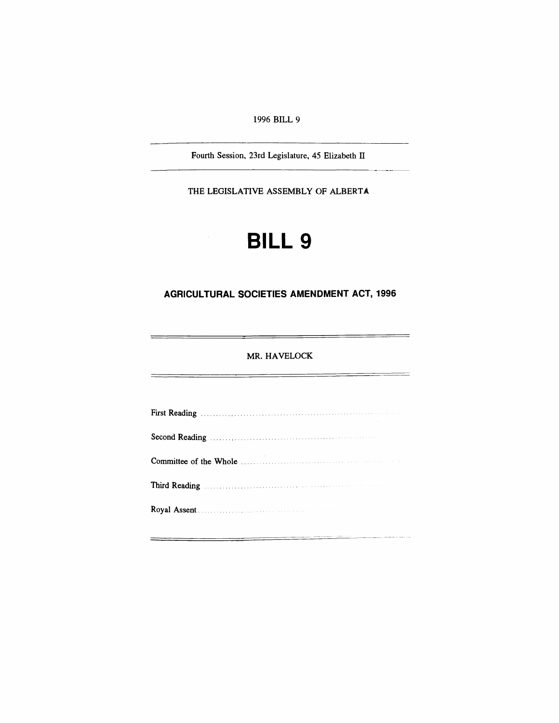*1996 BILL 9*

*Fourth Session, 23rd Legislature, 45 Elizabeth II*

*THE LEGISLATIVE ASSEMBLY OF ALBERTA*

# *BILL 9*

# *AGRICULTURAL SOCIETIES AMENDMENT ACT, 1996*

## *MR. HAVELOCK*

 $\overline{ }$ 

 $\overline{a}$ 

| Third Reading Manual Communication of the Communication of the Communication of the Communication of the Communication of the Communication of the Communication of the Communication of the Communication of the Communicatio |
|--------------------------------------------------------------------------------------------------------------------------------------------------------------------------------------------------------------------------------|
|                                                                                                                                                                                                                                |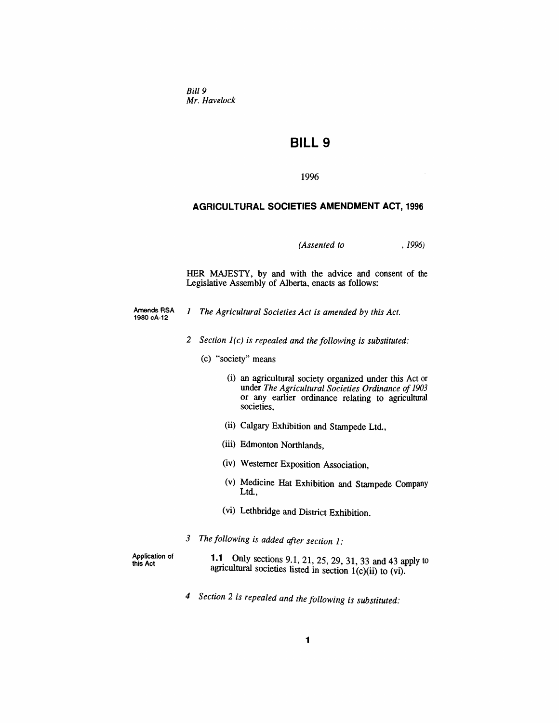*Bill 9 Mr. Havelock*

# *BILL 9*

*1996*

#### *AGRICULTURAL SOCIETIES AMENDMENT ACT, 1996*

*(Assented to , 1996)*

*HER MAJESTY, by and with the advice and consent of the Legislative Assembly of Alberta, enacts as follows:*

- *Amends RSA 1980cA-12 <sup>1</sup> The Agricultural Societies Act is amended by this Act.*
	- *2 Section 1(c) is repealed and the following is substituted:*
		- *(c) "society" means*
			- *(i) an agricultural society organized under this Act or under The Agricultural Societies Ordinance of 1903 or any earlier ordinance relating to agricultural societies,*
			- *(ii) Calgary Exhibition and Stampede Ltd.,*
			- *(iii) Edmonton Northlands,*
			- *(iv) Westerner Exposition Association,*
			- *(v) Medicine Hat Exhibition and Stampede Company Ltd.,*
			- *(vi) Lethbridge and District Exhibition.*
	- *3 The following is added after section 1:*

*Application of this Act*

*1.1 Only sections 9.1, 21, 25, 29, 31, 33 and 43 apply to agricultural societies listed in section 1(c)(ii) to (vi).*

*4 Section 2 is repealed and the following is substituted:*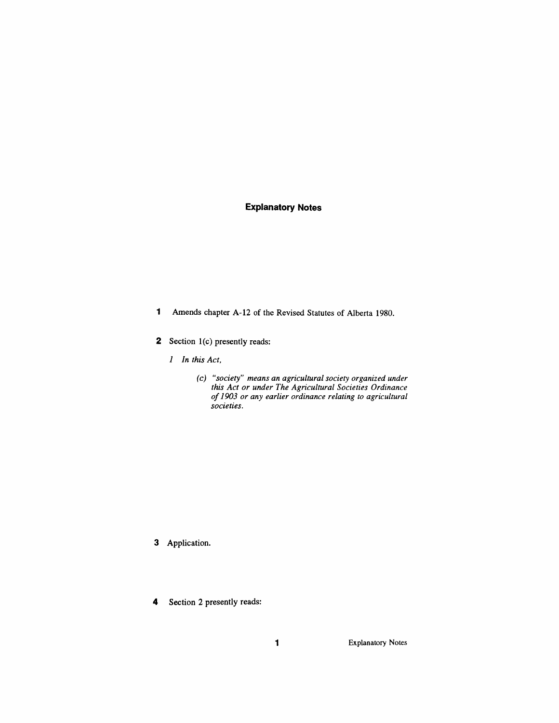## *Explanatory Notes*

- *<sup>1</sup> Amends chapter A-12 of the Revised Statutes of Alberta 1980.*
- *2 Section 1(c) presently reads:*
	- *1 In this Act,*
		- *(c) "society" means an agricultural society organized under this Act or under The Agricultural Societies Ordinance of1903 or any earlier ordinance relating to agricultural societies.*

- *3 Application.*
- *4 Section 2 presently reads:*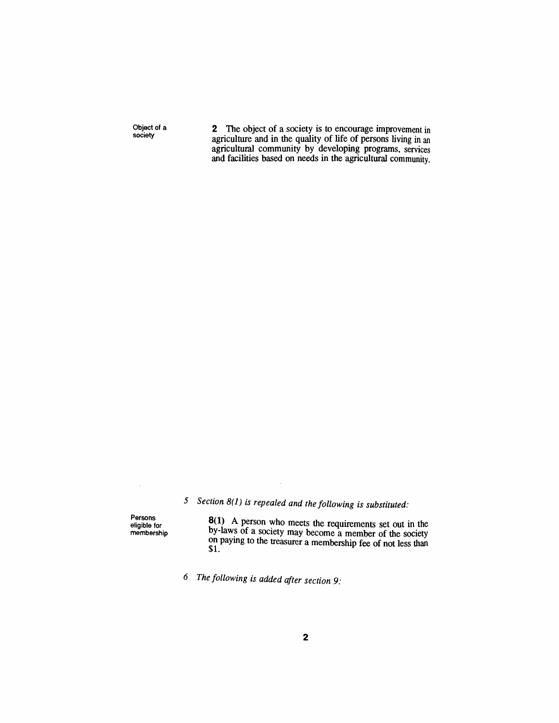*Object of a society*

*2 The object of a society is to encourage improvement in agriculture and in the quality of life of persons living in an agricultural community by developing programs, services and facilities based on needs in the agricultural community.*

*5 Section 8(1) is repealed and the following is substituted:*

 $\bar{z}$ 

*Persons eligible for membership*

 $\bar{\gamma}$ 

*8(1) A person who meets the requirements set out in the by-laws of a society may become a member of the society on paying to the treasurer a membership fee of not less than \$1.*

*6 The following is added after section 9:*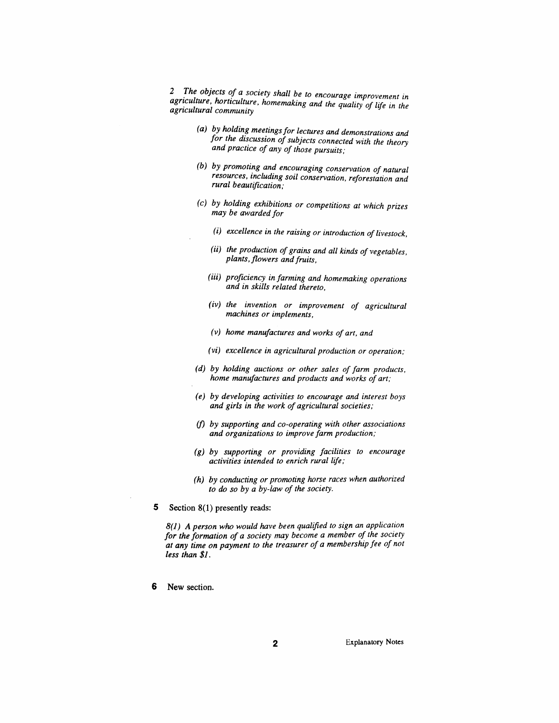*2 The objects of a society shall be to encourage improvement in agriculture, horticulture, homemaking and the quality of life in the agricultural community*

- *(a) by holding meetingsfor lectures and demonstrations and for the discussion ofsubjects connected with the theory and practice of any of those pursuits;*
- *(b) by promoting and encouraging conservation of natural resources, including soil conservation, reforestation and rural beautification;*
- *(c) by holding exhibitions or competitions at which prizes may be awarded for*
	- *(i) excellence in the raising or introduction oflivestock,*
	- *(ii) the production ofgrains and all kinds of vegetables, plants, flowers andfruits,*
	- *(iii) proficiency in farming and homemaking operations and in skills related thereto,*
	- *(iv) the invention or improvement of agricultural machines or implements,*
	- *(v) home manufactures and works of art, and*
	- *(vi) excellence in agricultural production or operation;*
- *(d) by holding auctions or other sales of farm products, home manufactures and products and works of art;*
- *(e) by developing activities to encourage and interest boys and girls in the work of agricultural societies;*
- *(f) by supporting and co-operating with other associations and organizations to improve farm production;*
- *(g) by supporting or providing facilities to encourage activities intended to enrich rural life;*
- *(h) by conducting or promoting horse races when authorized to do so by a by-law of the society.*
- *5 Section 8(1) presently reads:*

*8(1) A person who would have been qualified to sign an application for the formation of a society may become a member of the society at any time on payment to the treasurer of a membership fee of not less than \$1.*

*6 New section.*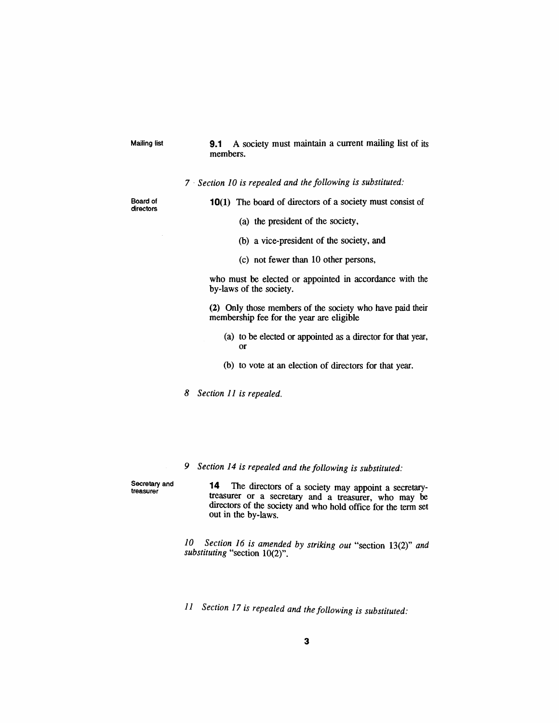*Mailing list 9.1 A society must maintain a current mailing list of its members.*

*7 Section 10 is repealed and the following is substituted:*

*Board of directors*

*10(1) The board of directors of a society must consist of*

- *(a) the president of the society,*
- *(b) a vice-president of the society, and*
- *(c) not fewer than 10 other persons,*

*who must be elected or appointed in accordance with the by-laws of the society.*

*(2) Only those members of the society who have paid their membership fee for the year are eligible*

- *(a) to be elected or appointed as a director for that year, or*
- *(b) to vote at an election of directors for that year.*

*8 Section 11 is repealed.*

*9 Section 14 is repealed and the following is substituted:*

*Secretary and treasurer*

*14 The directors of a society may appoint a secretarytreasurer or a secretary and a treasurer, who may be directors of the society and who hold office for the term set out in the by-laws.*

*10 Section 16 is amended by striking out "section 13(2)" and substituting "section 10(2)".*

*11 Section 17 is repealed and the following is substituted:*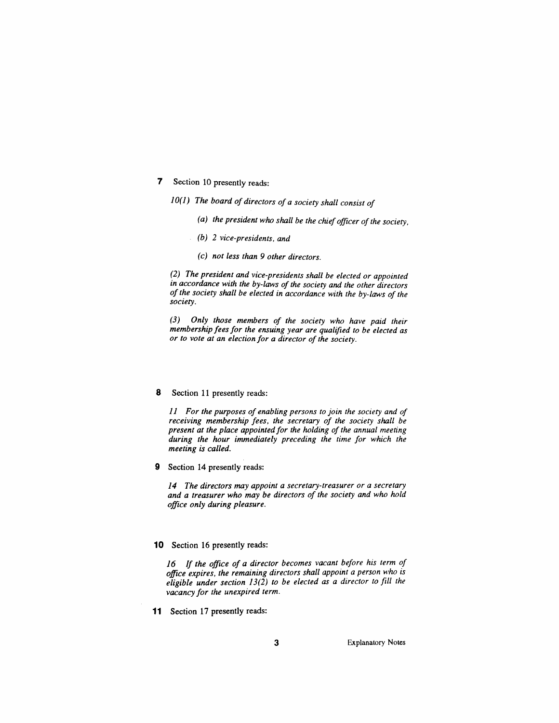- *7 Section 10 presently reads:*
	- *10(1) The board ofdirectors of a society shall consist of*
		- *(a) the president who shall be the chiefofficer ofthe society,*
		- *(b) 2 vice-presidents, and*
		- *(c) not less than 9 other directors.*

*(2) The president and vice-presidents shall be elected or appointed in accordance with the by-laws of the society and the other directors ofthe society shall be elected in accordance with the by-laws of the society.*

*(3) Only those members of the society who have paid their membership feesfor the ensuing year are qualified to be elected as or to vote at an election for a director of the society.*

#### *8 Section 11 presently reads:*

*11 For the purposes of enabling persons to join the society and of receiving membership fees, the secretary of the society shall be present at the place appointedfor the holding of the annual meeting during the hour immediately preceding the time for which the meeting is called.*

*9 Section 14 presently reads:*

*14 The directors may appoint a secretary-treasurer or a secretary and a treasurer who may be directors of the society and who hold office only during pleasure.*

#### *10 Section 16 presently reads:*

*16 If the office of a director becomes vacant before his term of office expires, the remaining directors shall appoint a person who is eligible under section 13(2) to be elected as a director to fill the vacancy for the unexpired term.*

*11 Section 17 presently reads:*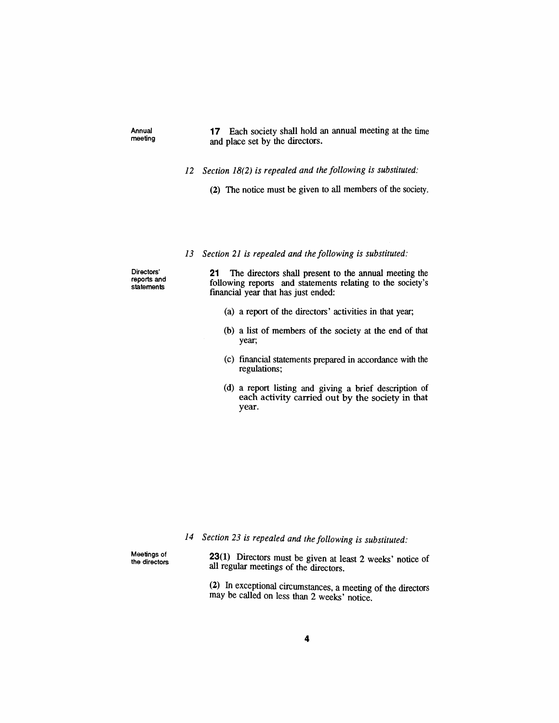*Annual meeting*

## *17 Each society shall hold an annual meeting at the time and place set by the directors.*

- *12 Section 18(2) is repealed and the following is substituted:*
	- *(2) The notice must be given to all members of the society.*

#### *13 Section 21 is repealed and the following is substituted:*

*Directors' reports and statements*

*21 The directors shall present to the annual meeting the following reports and statements relating to the society's financial year that has just ended:*

- *(a) a report of the directors' activities in that year;*
- *(b) a list of members of the society at the end of that year;*
- *(c) financial statements prepared in accordance with the regulations;*
- *(d) a report listing and giving a brief description of each activity carried out by the society in that year.*

*14 Section 23 is repealed and the following is substituted:*

*Meetings of the directors* *23(1) Directors must be given at least 2 weeks' notice of all regular meetings of the directors.*

*(2) In exceptional circumstances, a meeting of the directors may be called on less than 2 weeks' notice.*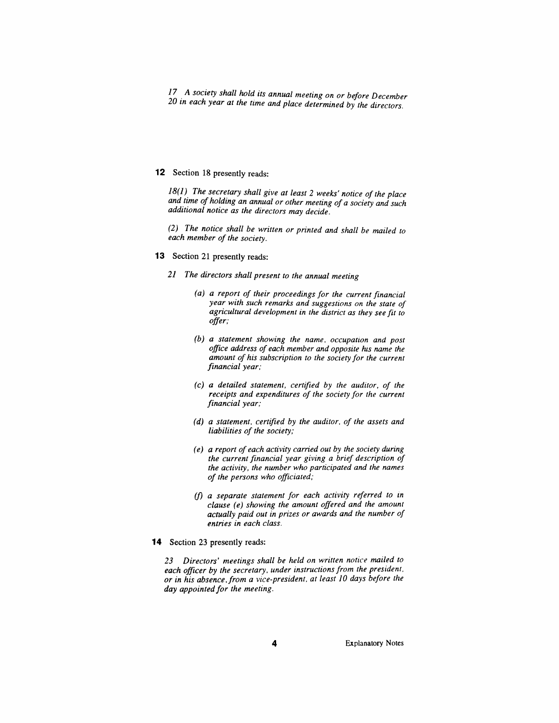*17 A society shall hold its annual meeting on or before December 20 in each year at the time and place determined by the directors.*

### *12 Section 18 presently reads:*

*18(1) The secretary shall give at least 2 weeks' notice of the place and time ofholding an annual or other meeting ofa society and such additional notice as the directors may decide.*

*(2) The notice shall be written or printed and shall be mailed to each member ofthe society.*

- *13 Section 21 presently reads:*
	- *21 The directors shall present to the annual meeting*
		- *(a) a report of their proceedings for the current financial year with such remarks and suggestions on the state of agricultural development in the district as they see fit to offer;*
		- *(b) a statement showing the name, occupation and post office address of each member and opposite his name the amount of his subscription to the society for the current financial year;*
		- *(c) a detailed statement, certified by the auditor, of the receipts and expenditures of the society for the current financial year;*
		- *(d) a statement, certified by the auditor, of the assets and liabilities of the society;*
		- *(e) a report of each activity carried out by the society during the current financial year giving a brief description of the activity, the number who participated and the names of the persons who officiated;*
		- *(f) a separate statement for each activity referred to in clause (e) showing the amount offered and the amount actually paid out in prizes or awards and the number of entries in each class.*
- *14 Section 23 presently reads:*

*23 Directors' meetings shall be held on written notice mailed to each officer by the secretary, under instructionsfrom the president, or in his absence, from a vice-president, at least 10 days before the day appointedfor the meeting.*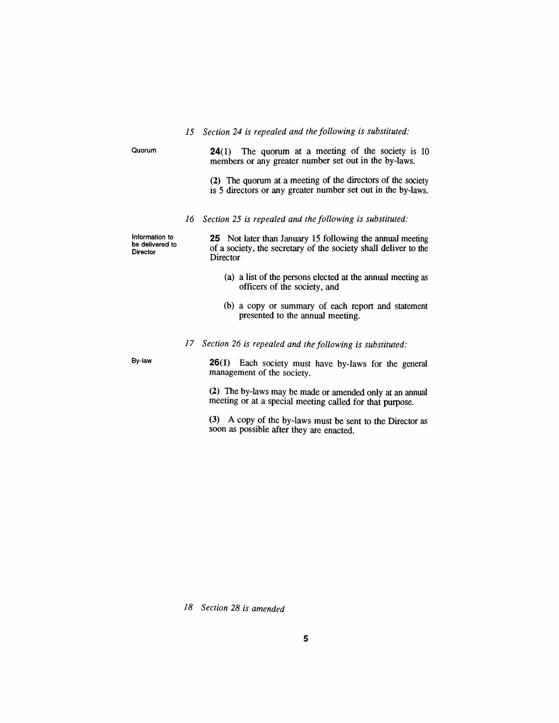|  |  |  |  |  |  |  |  |  |  | 15 Section 24 is repealed and the following is substituted: |  |
|--|--|--|--|--|--|--|--|--|--|-------------------------------------------------------------|--|
|--|--|--|--|--|--|--|--|--|--|-------------------------------------------------------------|--|

| Quorum                                        |    | <b>24</b> (1) The quorum at a meeting of the society is 10<br>members or any greater number set out in the by-laws.                             |
|-----------------------------------------------|----|-------------------------------------------------------------------------------------------------------------------------------------------------|
|                                               |    | (2) The quorum at a meeting of the directors of the society<br>is 5 directors or any greater number set out in the by-laws.                     |
|                                               |    | 16 Section 25 is repealed and the following is substituted:                                                                                     |
| Information to<br>be delivered to<br>Director |    | <b>25</b> Not later than January 15 following the annual meeting<br>of a society, the secretary of the society shall deliver to the<br>Director |
|                                               |    | (a) a list of the persons elected at the annual meeting as<br>officers of the society, and                                                      |
|                                               |    | (b) a copy or summary of each report and statement<br>presented to the annual meeting.                                                          |
|                                               | 17 | Section 26 is repealed and the following is substituted:                                                                                        |
| By-law                                        |    | <b>26(1)</b> Each society must have by-laws for the general<br>management of the society.                                                       |
|                                               |    | (2) The by-laws may be made or amended only at an annual<br>meeting or at a special meeting called for that purpose.                            |
|                                               |    | $(2)$ $(2)$                                                                                                                                     |

*(3) A copy of the by-laws must be sent to the Director as soon as possible after they are enacted.*

*18 Section 28 is amended*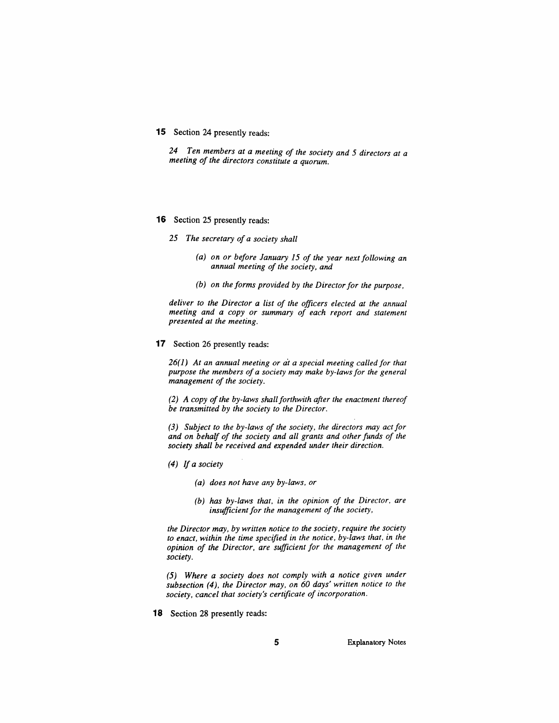#### *15 Section 24 presently reads:*

*24 Ten members at a meeting of the society and 5 directors at a meeting of the directors constitute a quorum.*

#### *16 Section 25 presently reads:*

*25 The secretary of a society shall*

- *(a) on or before January 15 of the year next following an annual meeting of the society, and*
- *(b) on the forms provided by the Directorfor the purpose,*

*deliver to the Director a list of the officers elected at the annual meeting and a copy or summary of each report and statement presented at the meeting.*

#### *17 Section 26 presently reads:*

*26(1) At an annual meeting or at a special meeting called for that purpose the members of a society may make by-lawsfor the general management of the society.*

*(2) A copy ofthe by-laws shallforthwith after the enactment thereof be transmitted by the society to the Director.*

*(3) Subject to the by-laws of the society, the directors may actfor and on behalf of the society and all grants and otherfunds of the society shall be received and expended under their direction.*

- *(4) If a society*
	- *(a) does not have any by-laws, or*
	- *(b) has by-laws that, in the opinion of the Director, are insufficientfor the management of the society,*

*the Director may, by written notice to the society, require the society to enact, within the time specified in the notice, by-laws that, in the opinion of the Director, are sufficient for the management of the society.*

*(5) Where a society does not comply with a notice given under subsection (4), the Director may, on 60 days' written notice to the society, cancel that society's certificate of incorporation.*

*18 Section 28 presently reads:*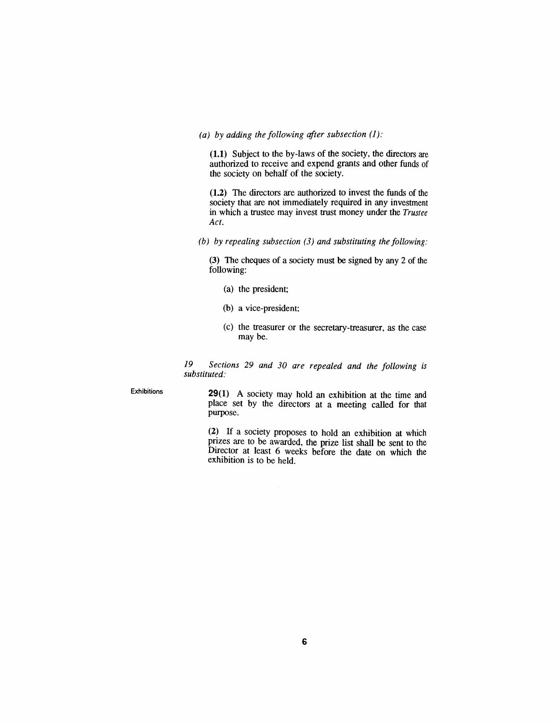#### *(a) by adding the following after subsection (1):*

*(1.1) Subject to the by-laws of the society, the directors are authorized to receive and expend grants and other funds of the society on behalf of the society.*

*(1.2) The directors are authorized to invest the funds of the society that are not immediately required in any investment in which a trustee may invest trust money under the Trustee Act.*

*(b) by repealing subsection (3) and substituting the following:*

*(3) The cheques of a society must be signed by any 2 of the following:*

- *(a) the president;*
- *(b) a vice-president;*
- *(c) the treasurer or the secretary-treasurer, as the case may be.*

*19 Sections 29 and 30 are repealed and the following is substituted:*

*Exhibitions 29(1) A society may hold an exhibition at the time and place set by the directors at a meeting called for that purpose.*

> *(2) If a society proposes to hold an exhibition at which prizes are to be awarded, the prize list shall be sent to the Director at least 6 weeks before the date on which the exhibition is to be held.*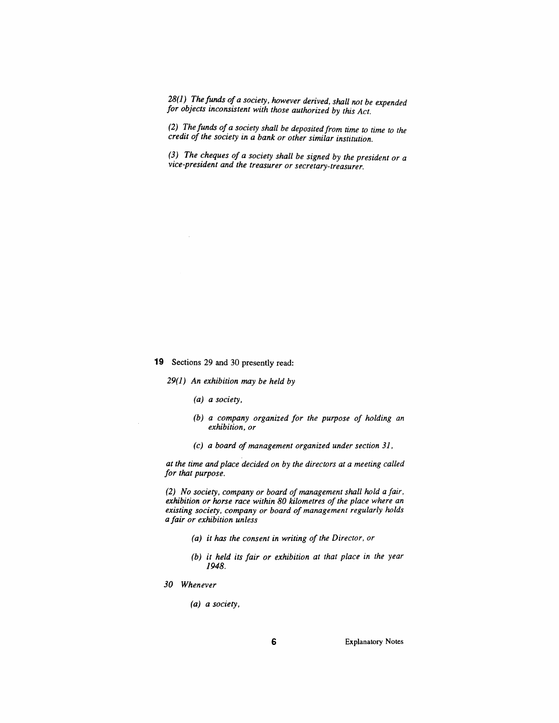*28(1) The funds ofa society, however derived, shall not be expended for objects inconsistent with those authorized by this Act.*

*(2) The funds of a society shall be depositedfrom time to time to the credit of the society in a bank or other similar institution.*

*(3) The cheques of a society shall be signed by the president or a vice-president and the treasurer or secretary-treasurer.*

*19 Sections 29 and 30 presently read:*

*29(1) An exhibition may be held by*

- *(a) a society,*
- *(b) a company organized for the purpose of holding an exhibition, or*
- *(c) a board of management organized under section 31,*

*at the time and place decided on by the directors at a meeting called for that purpose.*

*(2) No society, company or board of management shall hold a fair, exhibition or horse race within 80 kilometres of the place where an existing society, company or board of management regularly holds a fair or exhibition unless*

- *(a) it has the consent in writing of the Director, or*
- *(b) it held its fair or exhibition at that place in the year 1948.*
- *30 Whenever*
	- *(a) a society,*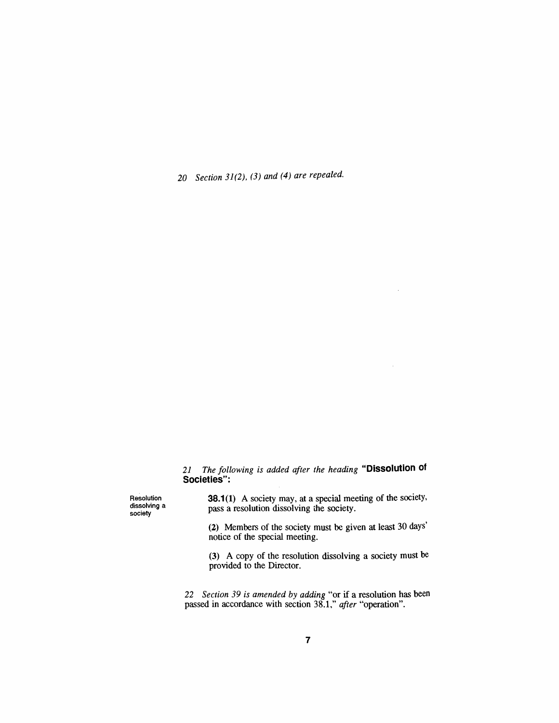*20 Section 31(2), (3) and (4) are repealed.*

*21 The following is added after the heading "Dissolution of Societies":*

*Resolution dissolving a society*

*38.1(1) A society may, at a special meeting of the society, pass a resolution dissolving the society.*

 $\bar{\epsilon}$ 

 $\bar{z}$ 

*(2) Members of the society must be given at least 30 days' notice of the special meeting.*

*(3) A copy of the resolution dissolving a society must be provided to the Director.*

*22 Section 39 is amended by adding "or if a resolution has been passed in accordance with section 38.1," after "operation".*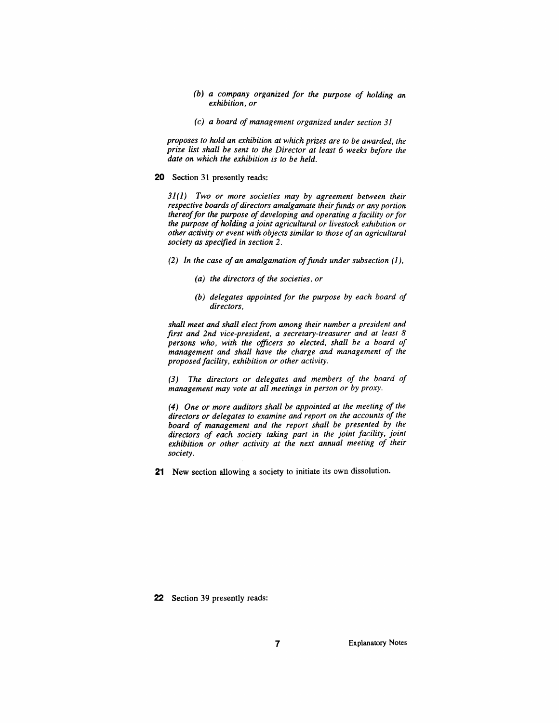- *(b) a company organized for the purpose of holding an exhibition, or*
- *(c) a board of management organized under section 31*

*proposes to hold an exhibition at which prizes are to be awarded, the prize list shall be sent to the Director at least 6 weeks before the date on which the exhibition is to be held.*

#### *20 Section 31 presently reads:*

*31(1) Two or more societies may by agreement between their respective boards ofdirectors amalgamate theirfunds or any portion thereoffor the purpose of developing and operating a facility orfor the purpose of holding a joint agricultural or livestock exhibition or other activity or event with objects similar to those ofan agricultural society as specified in section 2.*

- *(2) In the case of an amalgamation offunds under subsection (1),*
	- *(a) the directors of the societies, or*
	- *(b) delegates appointed for the purpose by each board of directors,*

*shall meet and shall electfrom among their number a president and first and 2nd vice-president, a secretary-treasurer and at least 8 persons who, with the officers so elected, shall be a board of management and shall have the charge and management of the proposedfacility, exhibition or other activity.*

*(3) The directors or delegates and members of the board of management may vote at all meetings in person or by proxy.*

*(4) One or more auditors shall be appointed at the meeting of the directors or delegates to examine and report on the accounts of the board of management and the report shall be presented by the directors of each society taking part in the joint facility, joint exhibition or other activity at the next annual meeting of their society.*

*21 New section allowing a society to initiate its own dissolution.*

*22 Section 39 presently reads:*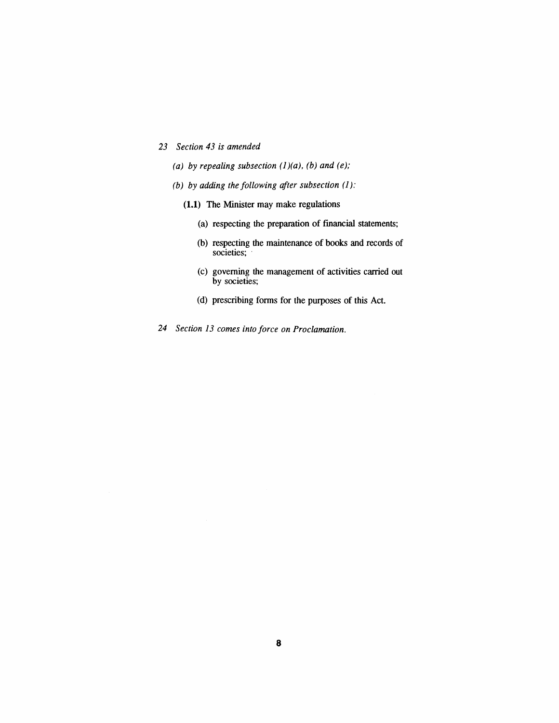- *23 Section 43 is amended*
	- *(a) by repealing subsection (1)(a), (b) and (e);*
	- *(b) by adding the following after subsection (1):*
		- *(1.1) The Minister may make regulations*
			- *(a) respecting the preparation of financial statements;*
			- *(b) respecting the maintenance of books and records of societies;*
			- *(c) governing the management of activities carried out by societies;*
			- *(d) prescribing forms for the purposes of this Act.*
- *24 Section 13 comes into force on Proclamation.*